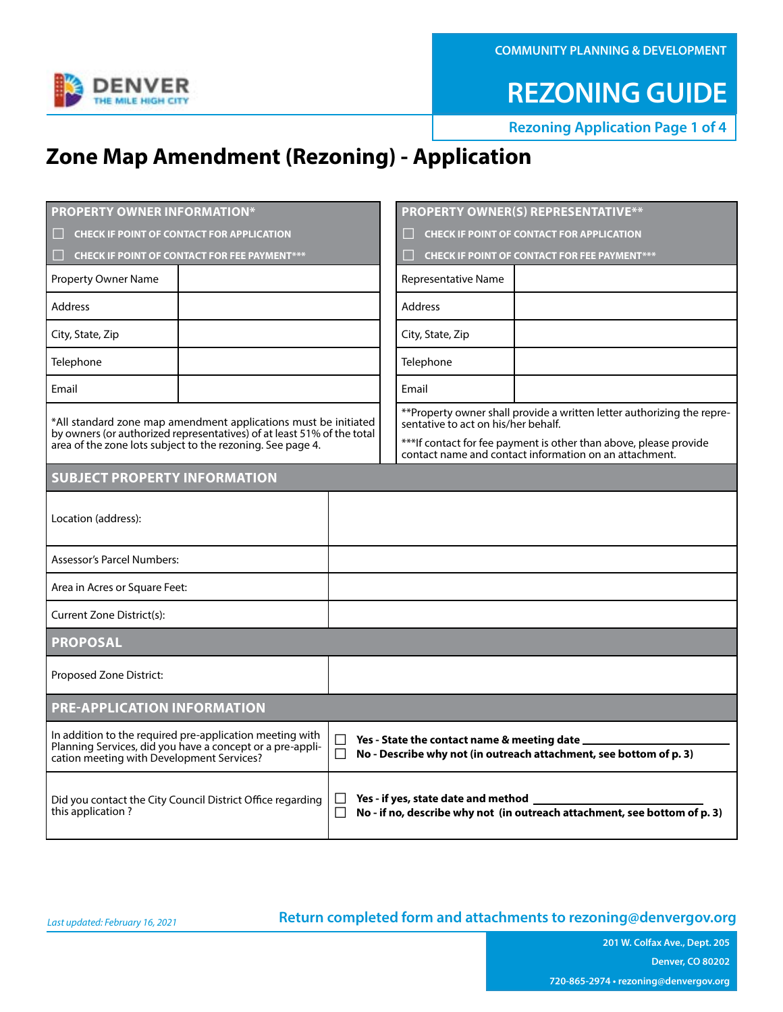**COMMUNITY PLANNING & DEVELOPMENT**



**REZONING GUIDE**

**Rezoning Application Page 1 of 4** 

### **Zone Map Amendment (Rezoning) - Application**

| <b>PROPERTY OWNER INFORMATION*</b>                                                                                                                                                                      |                                                     | <b>PROPERTY OWNER(S) REPRESENTATIVE**</b>                                                                                    |  |  |  |  |  |
|---------------------------------------------------------------------------------------------------------------------------------------------------------------------------------------------------------|-----------------------------------------------------|------------------------------------------------------------------------------------------------------------------------------|--|--|--|--|--|
| <b>CHECK IF POINT OF CONTACT FOR APPLICATION</b>                                                                                                                                                        | <b>CHECK IF POINT OF CONTACT FOR APPLICATION</b>    |                                                                                                                              |  |  |  |  |  |
| <b>CHECK IF POINT OF CONTACT FOR FEE PAYMENT***</b>                                                                                                                                                     | <b>CHECK IF POINT OF CONTACT FOR FEE PAYMENT***</b> |                                                                                                                              |  |  |  |  |  |
| <b>Property Owner Name</b>                                                                                                                                                                              |                                                     | Representative Name                                                                                                          |  |  |  |  |  |
| <b>Address</b>                                                                                                                                                                                          |                                                     | <b>Address</b>                                                                                                               |  |  |  |  |  |
| City, State, Zip                                                                                                                                                                                        |                                                     | City, State, Zip                                                                                                             |  |  |  |  |  |
| Telephone                                                                                                                                                                                               |                                                     | Telephone                                                                                                                    |  |  |  |  |  |
| Email                                                                                                                                                                                                   |                                                     |                                                                                                                              |  |  |  |  |  |
| *All standard zone map amendment applications must be initiated<br>by owners (or authorized representatives) of at least 51% of the total<br>area of the zone lots subject to the rezoning. See page 4. |                                                     | **Property owner shall provide a written letter authorizing the repre-<br>sentative to act on his/her behalf.                |  |  |  |  |  |
|                                                                                                                                                                                                         |                                                     | *** If contact for fee payment is other than above, please provide<br>contact name and contact information on an attachment. |  |  |  |  |  |
| <b>SUBJECT PROPERTY INFORMATION</b>                                                                                                                                                                     |                                                     |                                                                                                                              |  |  |  |  |  |
| Location (address):                                                                                                                                                                                     |                                                     |                                                                                                                              |  |  |  |  |  |
| <b>Assessor's Parcel Numbers:</b>                                                                                                                                                                       |                                                     |                                                                                                                              |  |  |  |  |  |
| Area in Acres or Square Feet:                                                                                                                                                                           |                                                     |                                                                                                                              |  |  |  |  |  |
| Current Zone District(s):                                                                                                                                                                               |                                                     |                                                                                                                              |  |  |  |  |  |
| <b>PROPOSAL</b>                                                                                                                                                                                         |                                                     |                                                                                                                              |  |  |  |  |  |
| Proposed Zone District:                                                                                                                                                                                 |                                                     |                                                                                                                              |  |  |  |  |  |
| <b>PRE-APPLICATION INFORMATION</b>                                                                                                                                                                      |                                                     |                                                                                                                              |  |  |  |  |  |
| In addition to the required pre-application meeting with<br>Planning Services, did you have a concept or a pre-appli-<br>cation meeting with Development Services?                                      | $\Box$<br>П                                         | Yes - State the contact name & meeting date _<br>No - Describe why not (in outreach attachment, see bottom of p. 3)          |  |  |  |  |  |
| Did you contact the City Council District Office regarding<br>this application?                                                                                                                         | $\perp$<br>П                                        | Yes - if yes, state date and method _____<br>No - if no, describe why not (in outreach attachment, see bottom of p. 3)       |  |  |  |  |  |

### **Return completed form and attachments to [rezoning@denvergov.org](mailto:rezoning%40denvergov.org?subject=)**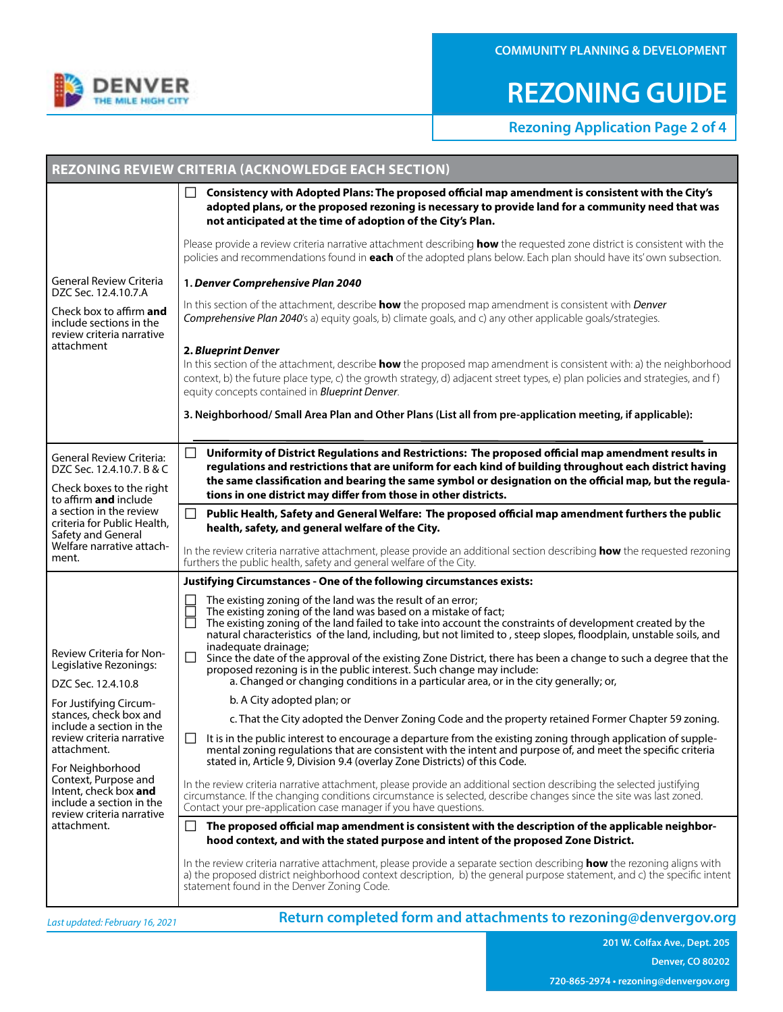

# **REZONING GUIDE**

**Rezoning Application Page 2 of 4** 

|                                                                                                                                                                                                                                                                                                                                                   | <b>REZONING REVIEW CRITERIA (ACKNOWLEDGE EACH SECTION)</b>                                                                                                                                                                                                                                                                                                                                                                                                                                                                                                                                                                                                                                                                                                                                                                                                                                                                                          |  |  |  |  |
|---------------------------------------------------------------------------------------------------------------------------------------------------------------------------------------------------------------------------------------------------------------------------------------------------------------------------------------------------|-----------------------------------------------------------------------------------------------------------------------------------------------------------------------------------------------------------------------------------------------------------------------------------------------------------------------------------------------------------------------------------------------------------------------------------------------------------------------------------------------------------------------------------------------------------------------------------------------------------------------------------------------------------------------------------------------------------------------------------------------------------------------------------------------------------------------------------------------------------------------------------------------------------------------------------------------------|--|--|--|--|
|                                                                                                                                                                                                                                                                                                                                                   | Consistency with Adopted Plans: The proposed official map amendment is consistent with the City's<br>adopted plans, or the proposed rezoning is necessary to provide land for a community need that was<br>not anticipated at the time of adoption of the City's Plan.                                                                                                                                                                                                                                                                                                                                                                                                                                                                                                                                                                                                                                                                              |  |  |  |  |
| General Review Criteria<br>DZC Sec. 12.4.10.7.A<br>Check box to affirm and<br>include sections in the<br>review criteria narrative<br>attachment                                                                                                                                                                                                  | Please provide a review criteria narrative attachment describing how the requested zone district is consistent with the<br>policies and recommendations found in each of the adopted plans below. Each plan should have its' own subsection.                                                                                                                                                                                                                                                                                                                                                                                                                                                                                                                                                                                                                                                                                                        |  |  |  |  |
|                                                                                                                                                                                                                                                                                                                                                   | 1. Denver Comprehensive Plan 2040                                                                                                                                                                                                                                                                                                                                                                                                                                                                                                                                                                                                                                                                                                                                                                                                                                                                                                                   |  |  |  |  |
|                                                                                                                                                                                                                                                                                                                                                   | In this section of the attachment, describe how the proposed map amendment is consistent with Denver<br>Comprehensive Plan 2040's a) equity goals, b) climate goals, and c) any other applicable goals/strategies.                                                                                                                                                                                                                                                                                                                                                                                                                                                                                                                                                                                                                                                                                                                                  |  |  |  |  |
|                                                                                                                                                                                                                                                                                                                                                   | 2. Blueprint Denver<br>In this section of the attachment, describe how the proposed map amendment is consistent with: a) the neighborhood<br>context, b) the future place type, c) the growth strategy, d) adjacent street types, e) plan policies and strategies, and f)<br>equity concepts contained in <b>Blueprint Denver</b> .                                                                                                                                                                                                                                                                                                                                                                                                                                                                                                                                                                                                                 |  |  |  |  |
|                                                                                                                                                                                                                                                                                                                                                   | 3. Neighborhood/ Small Area Plan and Other Plans (List all from pre-application meeting, if applicable):                                                                                                                                                                                                                                                                                                                                                                                                                                                                                                                                                                                                                                                                                                                                                                                                                                            |  |  |  |  |
| <b>General Review Criteria:</b><br>DZC Sec. 12.4.10.7. B & C<br>Check boxes to the right<br>to affirm and include<br>a section in the review<br>criteria for Public Health,<br>Safety and General<br>Welfare narrative attach-<br>ment.                                                                                                           | П<br>Uniformity of District Regulations and Restrictions: The proposed official map amendment results in<br>regulations and restrictions that are uniform for each kind of building throughout each district having<br>the same classification and bearing the same symbol or designation on the official map, but the regula-<br>tions in one district may differ from those in other districts.                                                                                                                                                                                                                                                                                                                                                                                                                                                                                                                                                   |  |  |  |  |
|                                                                                                                                                                                                                                                                                                                                                   | $\vert \ \ \vert$<br>Public Health, Safety and General Welfare: The proposed official map amendment furthers the public<br>health, safety, and general welfare of the City.                                                                                                                                                                                                                                                                                                                                                                                                                                                                                                                                                                                                                                                                                                                                                                         |  |  |  |  |
|                                                                                                                                                                                                                                                                                                                                                   | In the review criteria narrative attachment, please provide an additional section describing <b>how</b> the requested rezoning<br>furthers the public health, safety and general welfare of the City.                                                                                                                                                                                                                                                                                                                                                                                                                                                                                                                                                                                                                                                                                                                                               |  |  |  |  |
|                                                                                                                                                                                                                                                                                                                                                   | Justifying Circumstances - One of the following circumstances exists:                                                                                                                                                                                                                                                                                                                                                                                                                                                                                                                                                                                                                                                                                                                                                                                                                                                                               |  |  |  |  |
| Review Criteria for Non-<br>Legislative Rezonings:<br>DZC Sec. 12.4.10.8<br>For Justifying Circum-<br>stances, check box and<br>include a section in the<br>review criteria narrative<br>attachment.<br>For Neighborhood<br>Context, Purpose and<br>Intent, check box and<br>include a section in the<br>review criteria narrative<br>attachment. | The existing zoning of the land was the result of an error;<br>The existing zoning of the land was based on a mistake of fact;<br>The existing zoning of the land failed to take into account the constraints of development created by the<br>natural characteristics of the land, including, but not limited to, steep slopes, floodplain, unstable soils, and<br>inadequate drainage;<br>Since the date of the approval of the existing Zone District, there has been a change to such a degree that the<br>$\mathsf{L}$<br>proposed rezoning is in the public interest. Such change may include:<br>a. Changed or changing conditions in a particular area, or in the city generally; or,<br>b. A City adopted plan; or<br>c. That the City adopted the Denver Zoning Code and the property retained Former Chapter 59 zoning.<br>It is in the public interest to encourage a departure from the existing zoning through application of supple- |  |  |  |  |
|                                                                                                                                                                                                                                                                                                                                                   | mental zoning regulations that are consistent with the intent and purpose of, and meet the specific criteria<br>stated in, Article 9, Division 9.4 (overlay Zone Districts) of this Code.                                                                                                                                                                                                                                                                                                                                                                                                                                                                                                                                                                                                                                                                                                                                                           |  |  |  |  |
|                                                                                                                                                                                                                                                                                                                                                   | In the review criteria narrative attachment, please provide an additional section describing the selected justifying<br>circumstance. If the changing conditions circumstance is selected, describe changes since the site was last zoned.<br>Contact your pre-application case manager if you have questions.                                                                                                                                                                                                                                                                                                                                                                                                                                                                                                                                                                                                                                      |  |  |  |  |
|                                                                                                                                                                                                                                                                                                                                                   | The proposed official map amendment is consistent with the description of the applicable neighbor-<br>ப<br>hood context, and with the stated purpose and intent of the proposed Zone District.                                                                                                                                                                                                                                                                                                                                                                                                                                                                                                                                                                                                                                                                                                                                                      |  |  |  |  |
|                                                                                                                                                                                                                                                                                                                                                   | In the review criteria narrative attachment, please provide a separate section describing <b>how</b> the rezoning aligns with<br>a) the proposed district neighborhood context description, b) the general purpose statement, and c) the specific intent<br>statement found in the Denver Zoning Code.                                                                                                                                                                                                                                                                                                                                                                                                                                                                                                                                                                                                                                              |  |  |  |  |
| Last updated: February 16, 2021                                                                                                                                                                                                                                                                                                                   | Return completed form and attachments to rezoning@denvergov.org                                                                                                                                                                                                                                                                                                                                                                                                                                                                                                                                                                                                                                                                                                                                                                                                                                                                                     |  |  |  |  |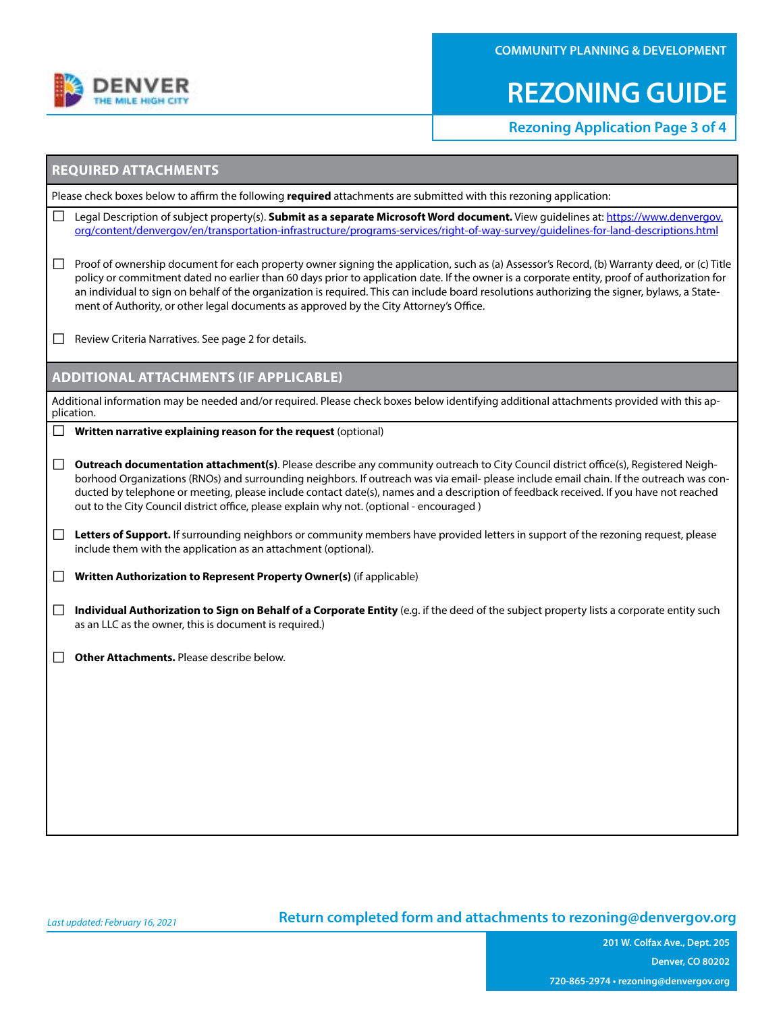

**COMMUNITY PLANNING & DEVELOPMENT**

# **REZONING GUIDE**

**Rezoning Application Page 3 of 4** 

#### **REQUIRED ATTACHMENTS**

Please check boxes below to affirm the following **required** attachments are submitted with this rezoning application:

- □ Legal Description of subject property(s). **Submit as a separate Microsoft Word document.** View guidelines at: https://www.denvergov. [org/content/denvergov/en/transportation-infrastructure/programs-services/right-of-way-survey/guidelines-for-land-descriptions.html](https://www.denvergov.org/content/denvergov/en/transportation-infrastructure/programs-services/right-of-way-survey/guidelines-for-land-descriptions.html)
- $\Box$  Proof of ownership document for each property owner signing the application, such as (a) Assessor's Record, (b) Warranty deed, or (c) Title policy or commitment dated no earlier than 60 days prior to application date. If the owner is a corporate entity, proof of authorization for an individual to sign on behalf of the organization is required. This can include board resolutions authorizing the signer, bylaws, a Statement of Authority, or other legal documents as approved by the City Attorney's Office.

 $\Box$  Review Criteria Narratives. See page 2 for details.

#### **ADDITIONAL ATTACHMENTS (IF APPLICABLE)**

Additional information may be needed and/or required. Please check boxes below identifying additional attachments provided with this application.

- **Written narrative explaining reason for the request (optional)**
- □ Outreach documentation attachment(s). Please describe any community outreach to City Council district office(s), Registered Neighborhood Organizations (RNOs) and surrounding neighbors. If outreach was via email- please include email chain. If the outreach was conducted by telephone or meeting, please include contact date(s), names and a description of feedback received. If you have not reached out to the City Council district office, please explain why not. (optional - encouraged)
- □ **Letters of Support.** If surrounding neighbors or community members have provided letters in support of the rezoning request, please include them with the application as an attachment (optional).

□ **Written Authorization to Represent Property Owner(s)** (if applicable)

□ **Individual Authorization to Sign on Behalf of a Corporate Entity** (e.g. if the deed of the subject property lists a corporate entity such as an LLC as the owner, this is document is required.)

□ **Other Attachments.** Please describe below.

#### **Return completed form and attachments to [rezoning@denvergov.org](mailto:rezoning%40denvergov.org?subject=)**